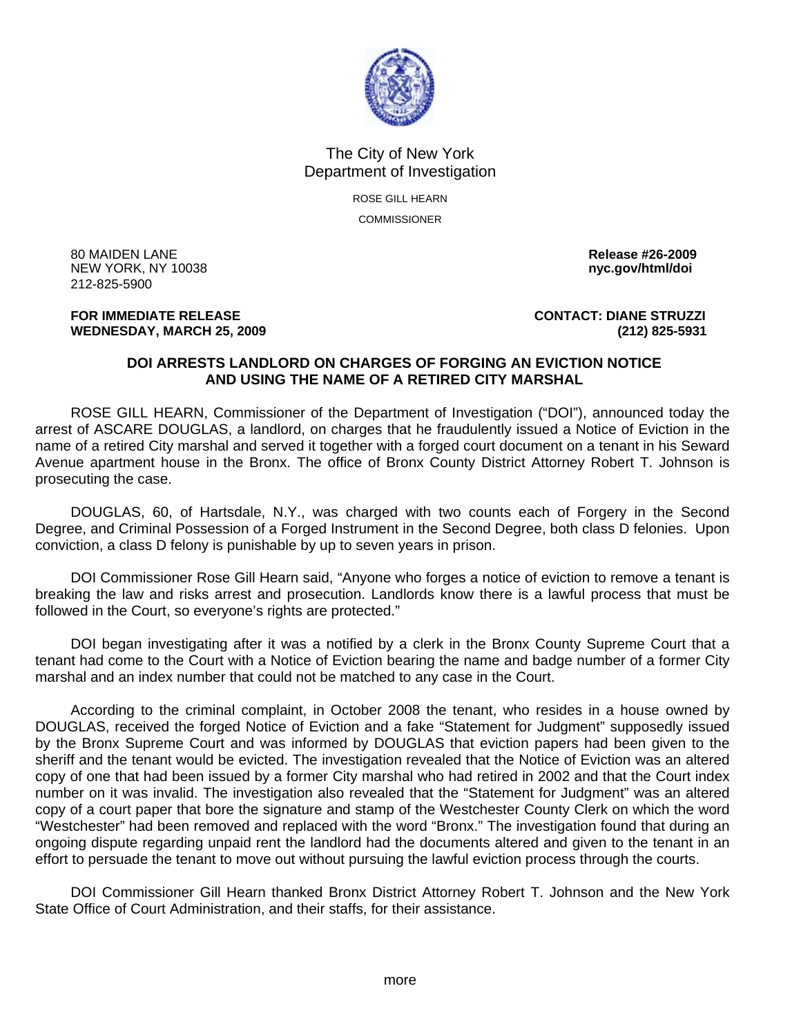

## The City of New York Department of Investigation

ROSE GILL HEARN **COMMISSIONER** 

80 MAIDEN LANE **Release #26-2009 NEW YORK, NY 10038** 212-825-5900

## **FOR IMMEDIATE RELEASE CONTACT: DIANE STRUZZI WEDNESDAY, MARCH 25, 2009 (212) 825-5931**

## **DOI ARRESTS LANDLORD ON CHARGES OF FORGING AN EVICTION NOTICE AND USING THE NAME OF A RETIRED CITY MARSHAL**

 ROSE GILL HEARN, Commissioner of the Department of Investigation ("DOI"), announced today the arrest of ASCARE DOUGLAS, a landlord, on charges that he fraudulently issued a Notice of Eviction in the name of a retired City marshal and served it together with a forged court document on a tenant in his Seward Avenue apartment house in the Bronx. The office of Bronx County District Attorney Robert T. Johnson is prosecuting the case.

 DOUGLAS, 60, of Hartsdale, N.Y., was charged with two counts each of Forgery in the Second Degree, and Criminal Possession of a Forged Instrument in the Second Degree, both class D felonies. Upon conviction, a class D felony is punishable by up to seven years in prison.

 DOI Commissioner Rose Gill Hearn said, "Anyone who forges a notice of eviction to remove a tenant is breaking the law and risks arrest and prosecution. Landlords know there is a lawful process that must be followed in the Court, so everyone's rights are protected."

 DOI began investigating after it was a notified by a clerk in the Bronx County Supreme Court that a tenant had come to the Court with a Notice of Eviction bearing the name and badge number of a former City marshal and an index number that could not be matched to any case in the Court.

 According to the criminal complaint, in October 2008 the tenant, who resides in a house owned by DOUGLAS, received the forged Notice of Eviction and a fake "Statement for Judgment" supposedly issued by the Bronx Supreme Court and was informed by DOUGLAS that eviction papers had been given to the sheriff and the tenant would be evicted. The investigation revealed that the Notice of Eviction was an altered copy of one that had been issued by a former City marshal who had retired in 2002 and that the Court index number on it was invalid. The investigation also revealed that the "Statement for Judgment" was an altered copy of a court paper that bore the signature and stamp of the Westchester County Clerk on which the word "Westchester" had been removed and replaced with the word "Bronx." The investigation found that during an ongoing dispute regarding unpaid rent the landlord had the documents altered and given to the tenant in an effort to persuade the tenant to move out without pursuing the lawful eviction process through the courts.

 DOI Commissioner Gill Hearn thanked Bronx District Attorney Robert T. Johnson and the New York State Office of Court Administration, and their staffs, for their assistance.